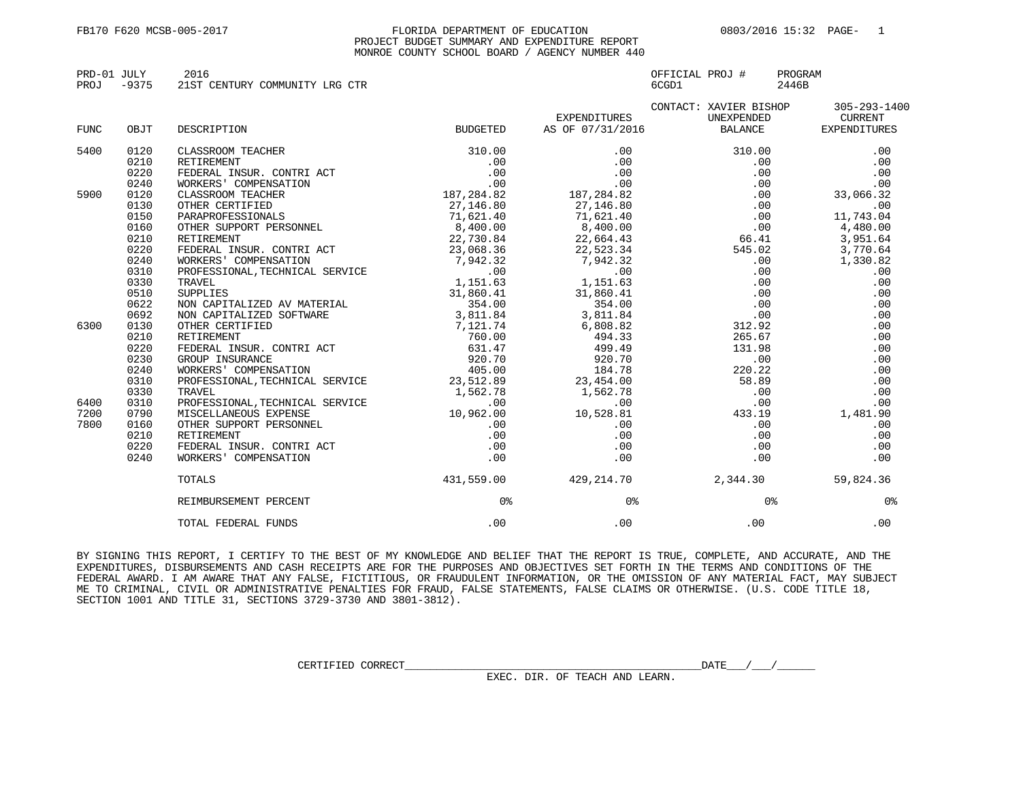## FB170 F620 MCSB-005-2017 FLORIDA DEPARTMENT OF EDUCATION 0803/2016 15:32 PAGE- 1 PROJECT BUDGET SUMMARY AND EXPENDITURE REPORT MONROE COUNTY SCHOOL BOARD / AGENCY NUMBER 440

| PRD-01 JULY |         | 2016                           | OFFICIAL PROJ # | PROGRAM |
|-------------|---------|--------------------------------|-----------------|---------|
| PROJ        | $-9375$ | 21ST CENTURY COMMUNITY LRG CTR | 6CGD1           | 2446B   |
|             |         |                                |                 |         |

|             |      |                                                                                                                                                                                                                                                                                                                                                                           |                 |                                       | CONTACT: XAVIER BISHOP                                                           | 305-293-1400 |
|-------------|------|---------------------------------------------------------------------------------------------------------------------------------------------------------------------------------------------------------------------------------------------------------------------------------------------------------------------------------------------------------------------------|-----------------|---------------------------------------|----------------------------------------------------------------------------------|--------------|
|             |      |                                                                                                                                                                                                                                                                                                                                                                           |                 | EXPENDITURES                          | UNEXPENDED                                                                       | CURRENT      |
| <b>FUNC</b> | OBJT | DESCRIPTION                                                                                                                                                                                                                                                                                                                                                               | <b>BUDGETED</b> | AS OF 07/31/2016 BALANCE EXPENDITURES |                                                                                  |              |
| 5400        | 0120 |                                                                                                                                                                                                                                                                                                                                                                           |                 |                                       |                                                                                  | .00          |
|             | 0210 |                                                                                                                                                                                                                                                                                                                                                                           |                 |                                       |                                                                                  | .00          |
|             | 0220 |                                                                                                                                                                                                                                                                                                                                                                           |                 |                                       |                                                                                  | .00          |
|             | 0240 |                                                                                                                                                                                                                                                                                                                                                                           |                 |                                       |                                                                                  | .00          |
| 5900        | 0120 |                                                                                                                                                                                                                                                                                                                                                                           |                 |                                       | $\begin{array}{cc} .00 & & & \\ .00 & & & \\ .00 & & & \\ .00 & & & \end{array}$ | 33,066.32    |
|             | 0130 |                                                                                                                                                                                                                                                                                                                                                                           |                 |                                       |                                                                                  | .00          |
|             | 0150 |                                                                                                                                                                                                                                                                                                                                                                           |                 |                                       |                                                                                  | 11,743.04    |
|             | 0160 |                                                                                                                                                                                                                                                                                                                                                                           |                 |                                       |                                                                                  | $-4,480.00$  |
|             | 0210 |                                                                                                                                                                                                                                                                                                                                                                           |                 |                                       |                                                                                  | 3,951.64     |
|             | 0220 |                                                                                                                                                                                                                                                                                                                                                                           |                 |                                       |                                                                                  | 3,770.64     |
|             | 0240 | $\begin{tabular}{l c c c c} \texttt{RETIREMENT} & \texttt{22,730.84} & \texttt{22,730.84} & \texttt{66.41} & \texttt{3,951} \\ \texttt{WORKERS'} & \texttt{COMPENSATION} & \texttt{23,068.36} & \texttt{22,730.84} & \texttt{66.41} & \texttt{3,951} \\ \texttt{WORKERS'} & \texttt{COMPENSATION} & \texttt{1,942.32} & \texttt{7,942.32} & \texttt{545.02} & \texttt{3,$ |                 |                                       |                                                                                  | 1,330.82     |
|             | 0310 |                                                                                                                                                                                                                                                                                                                                                                           |                 |                                       |                                                                                  | .00          |
|             | 0330 |                                                                                                                                                                                                                                                                                                                                                                           |                 |                                       |                                                                                  | .00          |
|             | 0510 |                                                                                                                                                                                                                                                                                                                                                                           |                 |                                       |                                                                                  | .00          |
|             | 0622 |                                                                                                                                                                                                                                                                                                                                                                           |                 |                                       |                                                                                  | .00          |
|             | 0692 |                                                                                                                                                                                                                                                                                                                                                                           |                 |                                       |                                                                                  | .00          |
| 6300        | 0130 |                                                                                                                                                                                                                                                                                                                                                                           |                 |                                       |                                                                                  | .00          |
|             | 0210 |                                                                                                                                                                                                                                                                                                                                                                           |                 |                                       |                                                                                  | .00          |
|             | 0220 |                                                                                                                                                                                                                                                                                                                                                                           |                 |                                       |                                                                                  | .00          |
|             | 0230 |                                                                                                                                                                                                                                                                                                                                                                           |                 |                                       |                                                                                  | .00          |
|             | 0240 |                                                                                                                                                                                                                                                                                                                                                                           |                 |                                       |                                                                                  | .00          |
|             | 0310 |                                                                                                                                                                                                                                                                                                                                                                           |                 |                                       |                                                                                  |              |
|             | 0330 |                                                                                                                                                                                                                                                                                                                                                                           |                 |                                       |                                                                                  |              |
| 6400        | 0310 |                                                                                                                                                                                                                                                                                                                                                                           |                 |                                       |                                                                                  |              |
| 7200        | 0790 |                                                                                                                                                                                                                                                                                                                                                                           |                 |                                       |                                                                                  |              |
| 7800        | 0160 |                                                                                                                                                                                                                                                                                                                                                                           |                 |                                       |                                                                                  |              |
|             | 0210 |                                                                                                                                                                                                                                                                                                                                                                           |                 |                                       |                                                                                  |              |
|             | 0220 |                                                                                                                                                                                                                                                                                                                                                                           |                 |                                       |                                                                                  |              |
|             | 0240 |                                                                                                                                                                                                                                                                                                                                                                           |                 |                                       |                                                                                  |              |
|             |      | TOTALS                                                                                                                                                                                                                                                                                                                                                                    |                 | $431,559.00$ $429,214.70$ $2,344.30$  |                                                                                  | 59,824.36    |
|             |      | REIMBURSEMENT PERCENT                                                                                                                                                                                                                                                                                                                                                     | 0응              | 0응                                    | 0응                                                                               | 0응           |
|             |      | TOTAL FEDERAL FUNDS                                                                                                                                                                                                                                                                                                                                                       | .00             | .00                                   | $.00 \,$                                                                         | .00          |

BY SIGNING THIS REPORT, I CERTIFY TO THE BEST OF MY KNOWLEDGE AND BELIEF THAT THE REPORT IS TRUE, COMPLETE, AND ACCURATE, AND THE EXPENDITURES, DISBURSEMENTS AND CASH RECEIPTS ARE FOR THE PURPOSES AND OBJECTIVES SET FORTH IN THE TERMS AND CONDITIONS OF THE FEDERAL AWARD. I AM AWARE THAT ANY FALSE, FICTITIOUS, OR FRAUDULENT INFORMATION, OR THE OMISSION OF ANY MATERIAL FACT, MAY SUBJECT ME TO CRIMINAL, CIVIL OR ADMINISTRATIVE PENALTIES FOR FRAUD, FALSE STATEMENTS, FALSE CLAIMS OR OTHERWISE. (U.S. CODE TITLE 18, SECTION 1001 AND TITLE 31, SECTIONS 3729-3730 AND 3801-3812).

EXEC. DIR. OF TEACH AND LEARN.

 $\texttt{\texttt{CERTIFIED CORRET}}\_\_\_\_\_\_\_\_\_\_\_\_\_\_\_\_\_\_\_\_\_\_\_\_\_\_\_\_\_\_ \_\_ \_ \_ \_ \_ \_ \_ \_ \_$